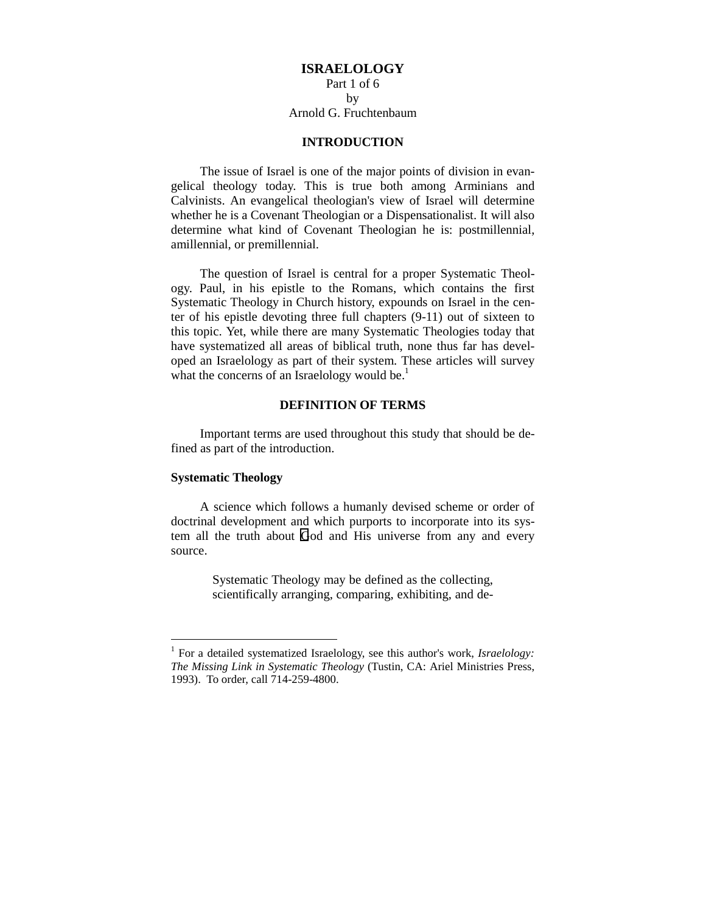# **ISRAELOLOGY**

# Part 1 of 6 by Arnold G. Fruchtenbaum

# **INTRODUCTION**

The issue of Israel is one of the major points of division in evangelical theology today. This is true both among Arminians and Calvinists. An evangelical theologian's view of Israel will determine whether he is a Covenant Theologian or a Dispensationalist. It will also determine what kind of Covenant Theologian he is: postmillennial, amillennial, or premillennial.

The question of Israel is central for a proper Systematic Theology. Paul, in his epistle to the Romans, which contains the first Systematic Theology in Church history, expounds on Israel in the center of his epistle devoting three full chapters (9-11) out of sixteen to this topic. Yet, while there are many Systematic Theologies today that have systematized all areas of biblical truth, none thus far has developed an Israelology as part of their system. These articles will survey what the concerns of an Israelology would be.<sup>1</sup>

## **DEFINITION OF TERMS**

Important terms are used throughout this study that should be defined as part of the introduction.

# **Systematic Theology**

 $\overline{a}$ 

A science which follows a humanly devised scheme or order of doctrinal development and which purports to incorporate into its system all the truth about God and His universe from any and every source.

> Systematic Theology may be defined as the collecting, scientifically arranging, comparing, exhibiting, and de-

<sup>&</sup>lt;sup>1</sup> For a detailed systematized Israelology, see this author's work, *Israelology*: *The Missing Link in Systematic Theology* (Tustin, CA: Ariel Ministries Press, 1993). To order, call 714-259-4800.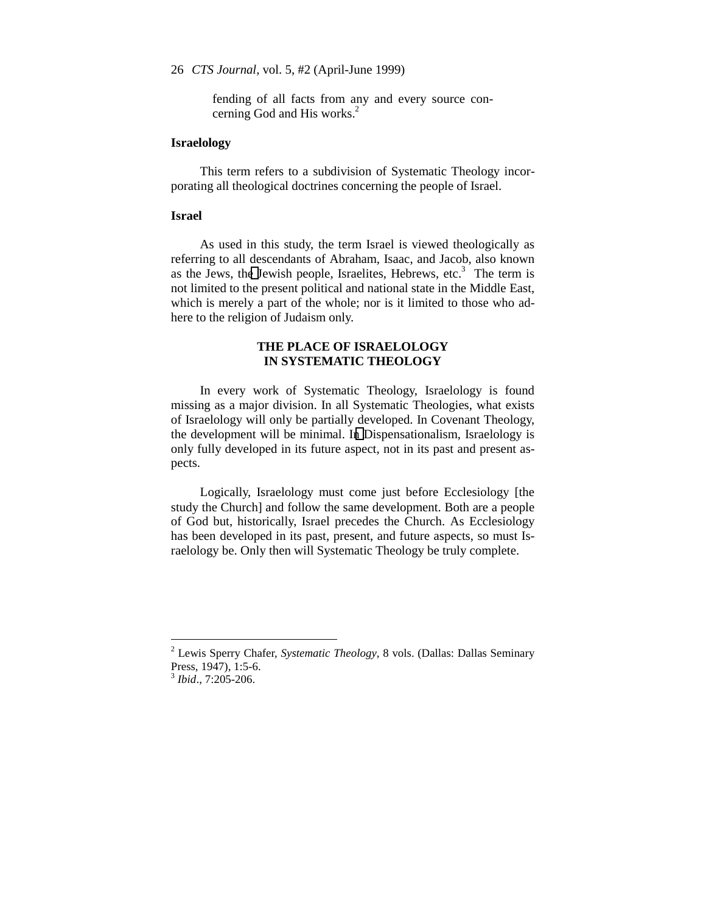fending of all facts from any and every source concerning God and His works.<sup>2</sup>

# **Israelology**

This term refers to a subdivision of Systematic Theology incorporating all theological doctrines concerning the people of Israel.

## **Israel**

As used in this study, the term Israel is viewed theologically as referring to all descendants of Abraham, Isaac, and Jacob, also known as the Jews, the Jewish people, Israelites, Hebrews, etc.<sup>3</sup> The term is not limited to the present political and national state in the Middle East, which is merely a part of the whole; nor is it limited to those who adhere to the religion of Judaism only.

# **THE PLACE OF ISRAELOLOGY IN SYSTEMATIC THEOLOGY**

In every work of Systematic Theology, Israelology is found missing as a major division. In all Systematic Theologies, what exists of Israelology will only be partially developed. In Covenant Theology, the development will be minimal. In Dispensationalism, Israelology is only fully developed in its future aspect, not in its past and present aspects.

Logically, Israelology must come just before Ecclesiology [the study the Church] and follow the same development. Both are a people of God but, historically, Israel precedes the Church. As Ecclesiology has been developed in its past, present, and future aspects, so must Israelology be. Only then will Systematic Theology be truly complete.

 $\overline{a}$ 

<sup>2</sup> Lewis Sperry Chafer, *Systematic Theology*, 8 vols. (Dallas: Dallas Seminary Press, 1947), 1:5-6.

<sup>3</sup> *Ibid*., 7:205-206.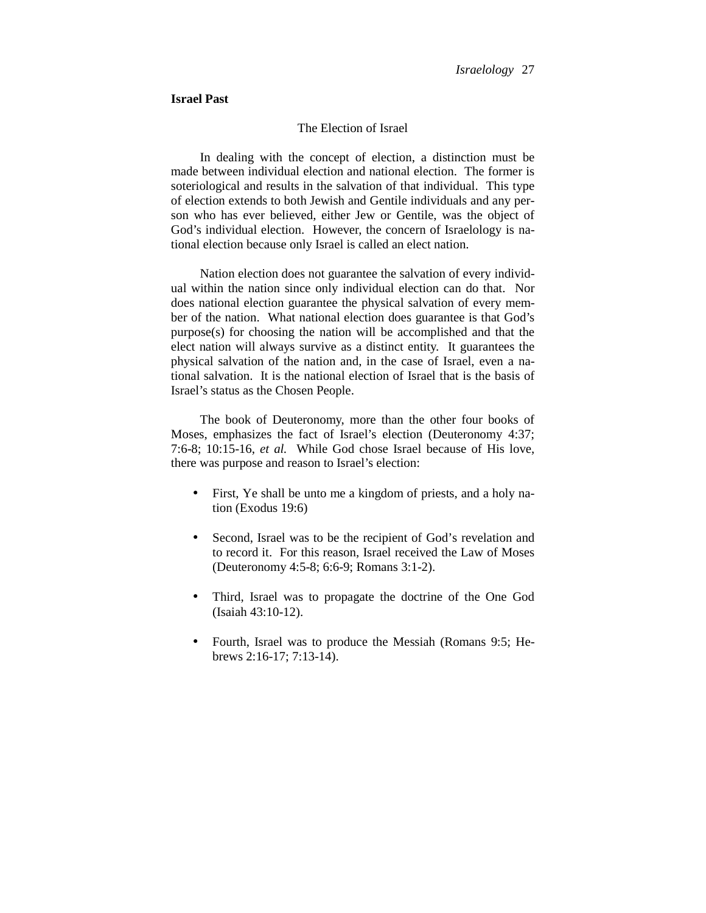## **Israel Past**

## The Election of Israel

In dealing with the concept of election, a distinction must be made between individual election and national election. The former is soteriological and results in the salvation of that individual. This type of election extends to both Jewish and Gentile individuals and any person who has ever believed, either Jew or Gentile, was the object of God's individual election. However, the concern of Israelology is national election because only Israel is called an elect nation.

Nation election does not guarantee the salvation of every individual within the nation since only individual election can do that. Nor does national election guarantee the physical salvation of every member of the nation. What national election does guarantee is that God's purpose(s) for choosing the nation will be accomplished and that the elect nation will always survive as a distinct entity. It guarantees the physical salvation of the nation and, in the case of Israel, even a national salvation. It is the national election of Israel that is the basis of Israel's status as the Chosen People.

The book of Deuteronomy, more than the other four books of Moses, emphasizes the fact of Israel's election (Deuteronomy 4:37; 7:6-8; 10:15-16, *et al.* While God chose Israel because of His love, there was purpose and reason to Israel's election:

- First, Ye shall be unto me a kingdom of priests, and a holy nation (Exodus 19:6)
- Second, Israel was to be the recipient of God's revelation and to record it. For this reason, Israel received the Law of Moses (Deuteronomy 4:5-8; 6:6-9; Romans 3:1-2).
- Third, Israel was to propagate the doctrine of the One God (Isaiah 43:10-12).
- Fourth, Israel was to produce the Messiah (Romans 9:5; Hebrews 2:16-17; 7:13-14).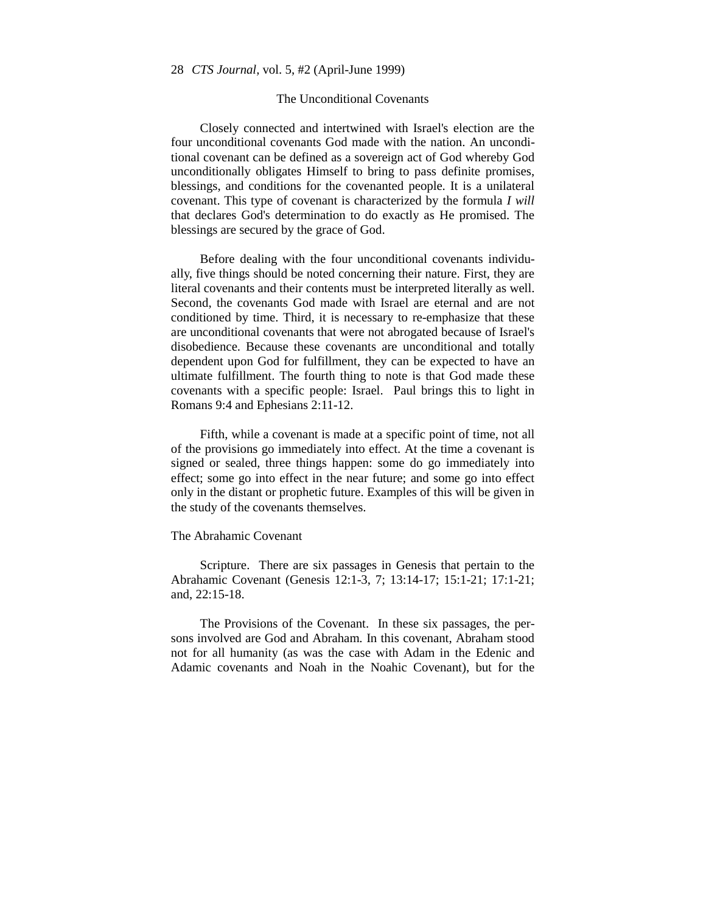## The Unconditional Covenants

Closely connected and intertwined with Israel's election are the four unconditional covenants God made with the nation. An unconditional covenant can be defined as a sovereign act of God whereby God unconditionally obligates Himself to bring to pass definite promises, blessings, and conditions for the covenanted people. It is a unilateral covenant. This type of covenant is characterized by the formula *I will* that declares God's determination to do exactly as He promised. The blessings are secured by the grace of God.

Before dealing with the four unconditional covenants individually, five things should be noted concerning their nature. First, they are literal covenants and their contents must be interpreted literally as well. Second, the covenants God made with Israel are eternal and are not conditioned by time. Third, it is necessary to re-emphasize that these are unconditional covenants that were not abrogated because of Israel's disobedience. Because these covenants are unconditional and totally dependent upon God for fulfillment, they can be expected to have an ultimate fulfillment. The fourth thing to note is that God made these covenants with a specific people: Israel. Paul brings this to light in Romans 9:4 and Ephesians 2:11-12.

Fifth, while a covenant is made at a specific point of time, not all of the provisions go immediately into effect. At the time a covenant is signed or sealed, three things happen: some do go immediately into effect; some go into effect in the near future; and some go into effect only in the distant or prophetic future. Examples of this will be given in the study of the covenants themselves.

## The Abrahamic Covenant

Scripture. There are six passages in Genesis that pertain to the Abrahamic Covenant (Genesis 12:1-3, 7; 13:14-17; 15:1-21; 17:1-21; and, 22:15-18.

The Provisions of the Covenant. In these six passages, the persons involved are God and Abraham. In this covenant, Abraham stood not for all humanity (as was the case with Adam in the Edenic and Adamic covenants and Noah in the Noahic Covenant), but for the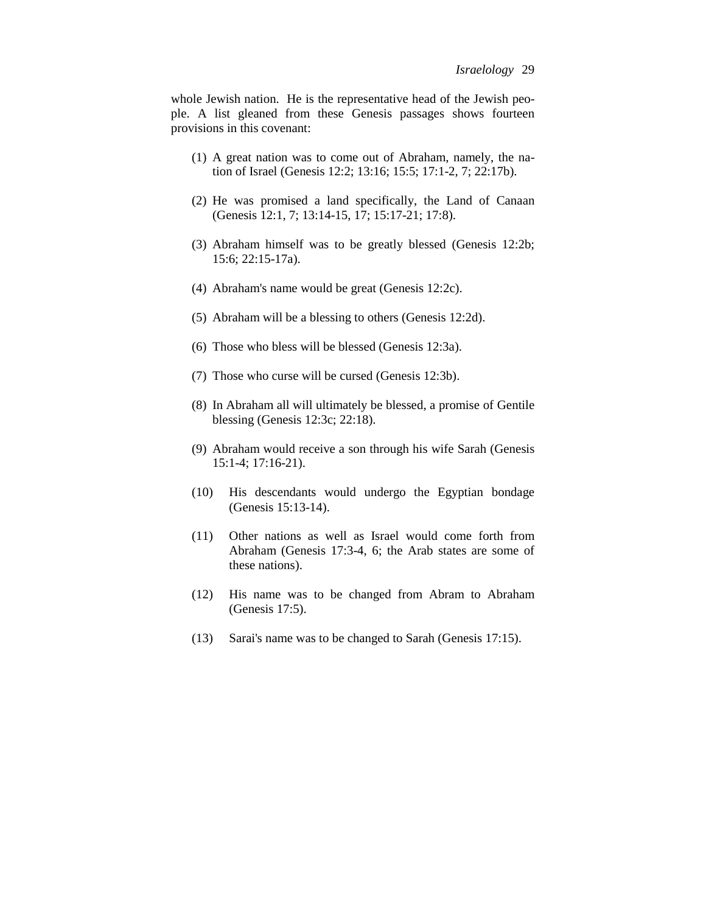whole Jewish nation. He is the representative head of the Jewish people. A list gleaned from these Genesis passages shows fourteen provisions in this covenant:

- (1) A great nation was to come out of Abraham, namely, the nation of Israel (Genesis 12:2; 13:16; 15:5; 17:1-2, 7; 22:17b).
- (2) He was promised a land specifically, the Land of Canaan (Genesis 12:1, 7; 13:14-15, 17; 15:17-21; 17:8).
- (3) Abraham himself was to be greatly blessed (Genesis 12:2b; 15:6; 22:15-17a).
- (4) Abraham's name would be great (Genesis 12:2c).
- (5) Abraham will be a blessing to others (Genesis 12:2d).
- (6) Those who bless will be blessed (Genesis 12:3a).
- (7) Those who curse will be cursed (Genesis 12:3b).
- (8) In Abraham all will ultimately be blessed, a promise of Gentile blessing (Genesis 12:3c; 22:18).
- (9) Abraham would receive a son through his wife Sarah (Genesis 15:1-4; 17:16-21).
- (10) His descendants would undergo the Egyptian bondage (Genesis 15:13-14).
- (11) Other nations as well as Israel would come forth from Abraham (Genesis 17:3-4, 6; the Arab states are some of these nations).
- (12) His name was to be changed from Abram to Abraham (Genesis 17:5).
- (13) Sarai's name was to be changed to Sarah (Genesis 17:15).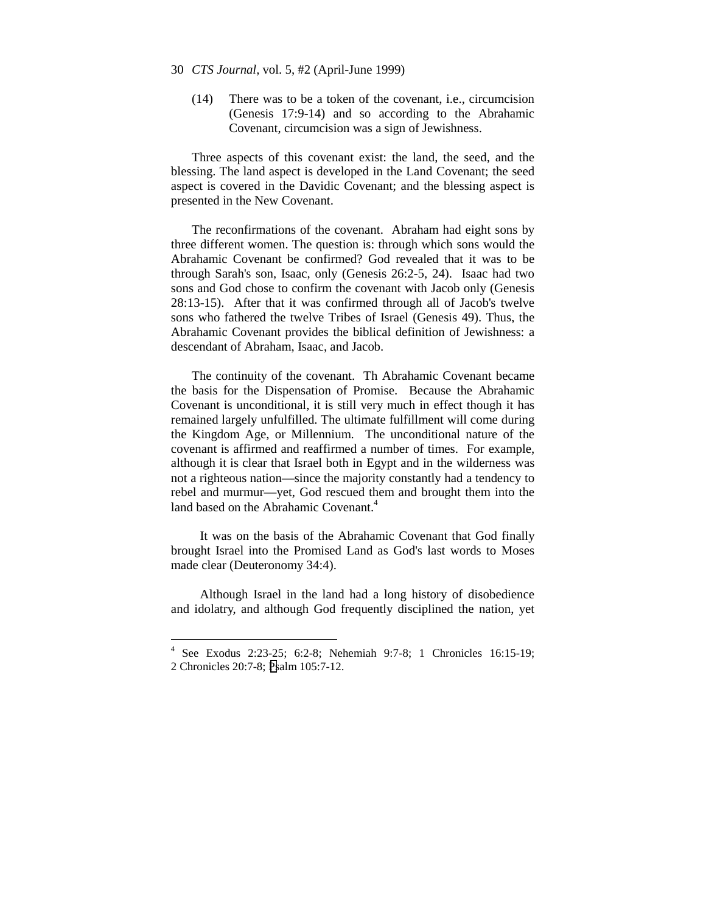- 30 *CTS Journal,* vol. 5, #2 (April-June 1999)
	- (14) There was to be a token of the covenant, i.e., circumcision (Genesis 17:9-14) and so according to the Abrahamic Covenant, circumcision was a sign of Jewishness.

Three aspects of this covenant exist: the land, the seed, and the blessing. The land aspect is developed in the Land Covenant; the seed aspect is covered in the Davidic Covenant; and the blessing aspect is presented in the New Covenant.

The reconfirmations of the covenant. Abraham had eight sons by three different women. The question is: through which sons would the Abrahamic Covenant be confirmed? God revealed that it was to be through Sarah's son, Isaac, only (Genesis 26:2-5, 24). Isaac had two sons and God chose to confirm the covenant with Jacob only (Genesis 28:13-15). After that it was confirmed through all of Jacob's twelve sons who fathered the twelve Tribes of Israel (Genesis 49). Thus, the Abrahamic Covenant provides the biblical definition of Jewishness: a descendant of Abraham, Isaac, and Jacob.

The continuity of the covenant. Th Abrahamic Covenant became the basis for the Dispensation of Promise. Because the Abrahamic Covenant is unconditional, it is still very much in effect though it has remained largely unfulfilled. The ultimate fulfillment will come during the Kingdom Age, or Millennium. The unconditional nature of the covenant is affirmed and reaffirmed a number of times. For example, although it is clear that Israel both in Egypt and in the wilderness was not a righteous nation—since the majority constantly had a tendency to rebel and murmur—yet, God rescued them and brought them into the land based on the Abrahamic Covenant.<sup>4</sup>

It was on the basis of the Abrahamic Covenant that God finally brought Israel into the Promised Land as God's last words to Moses made clear (Deuteronomy 34:4).

Although Israel in the land had a long history of disobedience and idolatry, and although God frequently disciplined the nation, yet

 $\overline{a}$ 

<sup>4</sup> See Exodus 2:23-25; 6:2-8; Nehemiah 9:7-8; 1 Chronicles 16:15-19; 2 Chronicles 20:7-8; Psalm 105:7-12.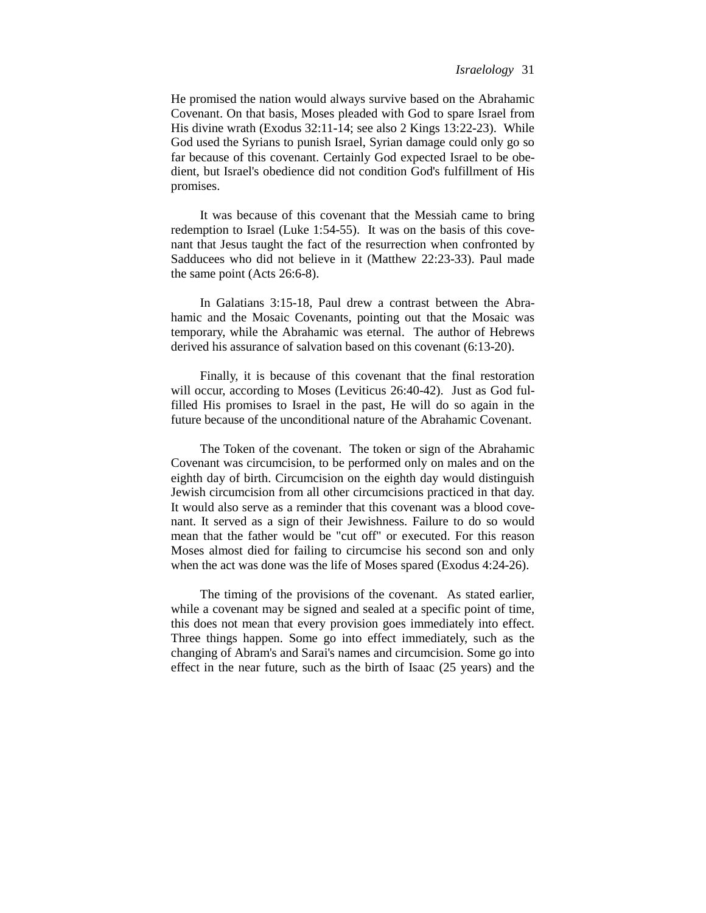He promised the nation would always survive based on the Abrahamic Covenant. On that basis, Moses pleaded with God to spare Israel from His divine wrath (Exodus 32:11-14; see also 2 Kings 13:22-23). While God used the Syrians to punish Israel, Syrian damage could only go so far because of this covenant. Certainly God expected Israel to be obedient, but Israel's obedience did not condition God's fulfillment of His promises.

It was because of this covenant that the Messiah came to bring redemption to Israel (Luke 1:54-55). It was on the basis of this covenant that Jesus taught the fact of the resurrection when confronted by Sadducees who did not believe in it (Matthew 22:23-33). Paul made the same point (Acts 26:6-8).

In Galatians 3:15-18, Paul drew a contrast between the Abrahamic and the Mosaic Covenants, pointing out that the Mosaic was temporary, while the Abrahamic was eternal. The author of Hebrews derived his assurance of salvation based on this covenant (6:13-20).

Finally, it is because of this covenant that the final restoration will occur, according to Moses (Leviticus 26:40-42). Just as God fulfilled His promises to Israel in the past, He will do so again in the future because of the unconditional nature of the Abrahamic Covenant.

The Token of the covenant. The token or sign of the Abrahamic Covenant was circumcision, to be performed only on males and on the eighth day of birth. Circumcision on the eighth day would distinguish Jewish circumcision from all other circumcisions practiced in that day. It would also serve as a reminder that this covenant was a blood covenant. It served as a sign of their Jewishness. Failure to do so would mean that the father would be "cut off" or executed. For this reason Moses almost died for failing to circumcise his second son and only when the act was done was the life of Moses spared (Exodus 4:24-26).

The timing of the provisions of the covenant. As stated earlier, while a covenant may be signed and sealed at a specific point of time, this does not mean that every provision goes immediately into effect. Three things happen. Some go into effect immediately, such as the changing of Abram's and Sarai's names and circumcision. Some go into effect in the near future, such as the birth of Isaac (25 years) and the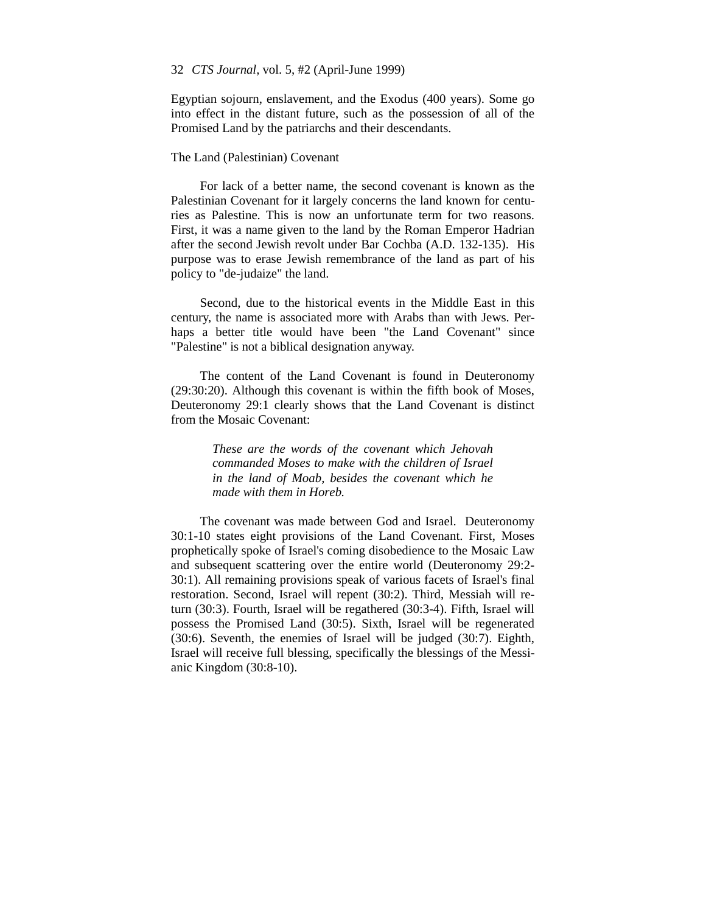Egyptian sojourn, enslavement, and the Exodus (400 years). Some go into effect in the distant future, such as the possession of all of the Promised Land by the patriarchs and their descendants.

## The Land (Palestinian) Covenant

For lack of a better name, the second covenant is known as the Palestinian Covenant for it largely concerns the land known for centuries as Palestine. This is now an unfortunate term for two reasons. First, it was a name given to the land by the Roman Emperor Hadrian after the second Jewish revolt under Bar Cochba (A.D. 132-135). His purpose was to erase Jewish remembrance of the land as part of his policy to "de-judaize" the land.

Second, due to the historical events in the Middle East in this century, the name is associated more with Arabs than with Jews. Perhaps a better title would have been "the Land Covenant" since "Palestine" is not a biblical designation anyway.

The content of the Land Covenant is found in Deuteronomy (29:30:20). Although this covenant is within the fifth book of Moses, Deuteronomy 29:1 clearly shows that the Land Covenant is distinct from the Mosaic Covenant:

> *These are the words of the covenant which Jehovah commanded Moses to make with the children of Israel in the land of Moab, besides the covenant which he made with them in Horeb.*

The covenant was made between God and Israel. Deuteronomy 30:1-10 states eight provisions of the Land Covenant. First, Moses prophetically spoke of Israel's coming disobedience to the Mosaic Law and subsequent scattering over the entire world (Deuteronomy 29:2- 30:1). All remaining provisions speak of various facets of Israel's final restoration. Second, Israel will repent (30:2). Third, Messiah will return (30:3). Fourth, Israel will be regathered (30:3-4). Fifth, Israel will possess the Promised Land (30:5). Sixth, Israel will be regenerated (30:6). Seventh, the enemies of Israel will be judged (30:7). Eighth, Israel will receive full blessing, specifically the blessings of the Messianic Kingdom (30:8-10).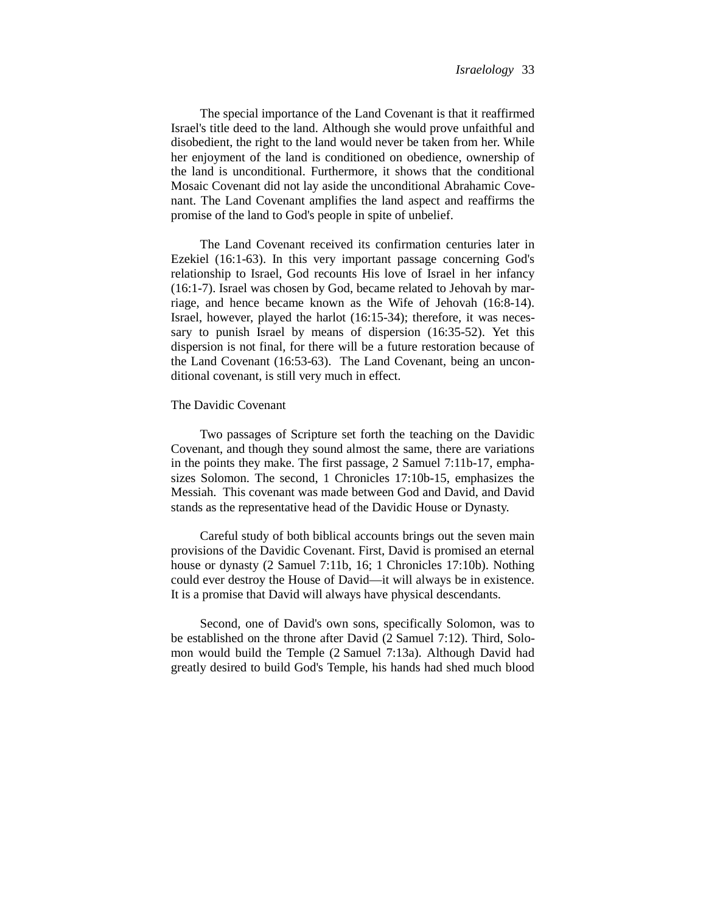The special importance of the Land Covenant is that it reaffirmed Israel's title deed to the land. Although she would prove unfaithful and disobedient, the right to the land would never be taken from her. While her enjoyment of the land is conditioned on obedience, ownership of the land is unconditional. Furthermore, it shows that the conditional Mosaic Covenant did not lay aside the unconditional Abrahamic Covenant. The Land Covenant amplifies the land aspect and reaffirms the promise of the land to God's people in spite of unbelief.

The Land Covenant received its confirmation centuries later in Ezekiel (16:1-63). In this very important passage concerning God's relationship to Israel, God recounts His love of Israel in her infancy (16:1-7). Israel was chosen by God, became related to Jehovah by marriage, and hence became known as the Wife of Jehovah (16:8-14). Israel, however, played the harlot (16:15-34); therefore, it was necessary to punish Israel by means of dispersion (16:35-52). Yet this dispersion is not final, for there will be a future restoration because of the Land Covenant (16:53-63). The Land Covenant, being an unconditional covenant, is still very much in effect.

## The Davidic Covenant

Two passages of Scripture set forth the teaching on the Davidic Covenant, and though they sound almost the same, there are variations in the points they make. The first passage, 2 Samuel 7:11b-17, emphasizes Solomon. The second, 1 Chronicles 17:10b-15, emphasizes the Messiah. This covenant was made between God and David, and David stands as the representative head of the Davidic House or Dynasty.

Careful study of both biblical accounts brings out the seven main provisions of the Davidic Covenant. First, David is promised an eternal house or dynasty (2 Samuel 7:11b, 16; 1 Chronicles 17:10b). Nothing could ever destroy the House of David—it will always be in existence. It is a promise that David will always have physical descendants.

Second, one of David's own sons, specifically Solomon, was to be established on the throne after David (2 Samuel 7:12). Third, Solomon would build the Temple (2 Samuel 7:13a). Although David had greatly desired to build God's Temple, his hands had shed much blood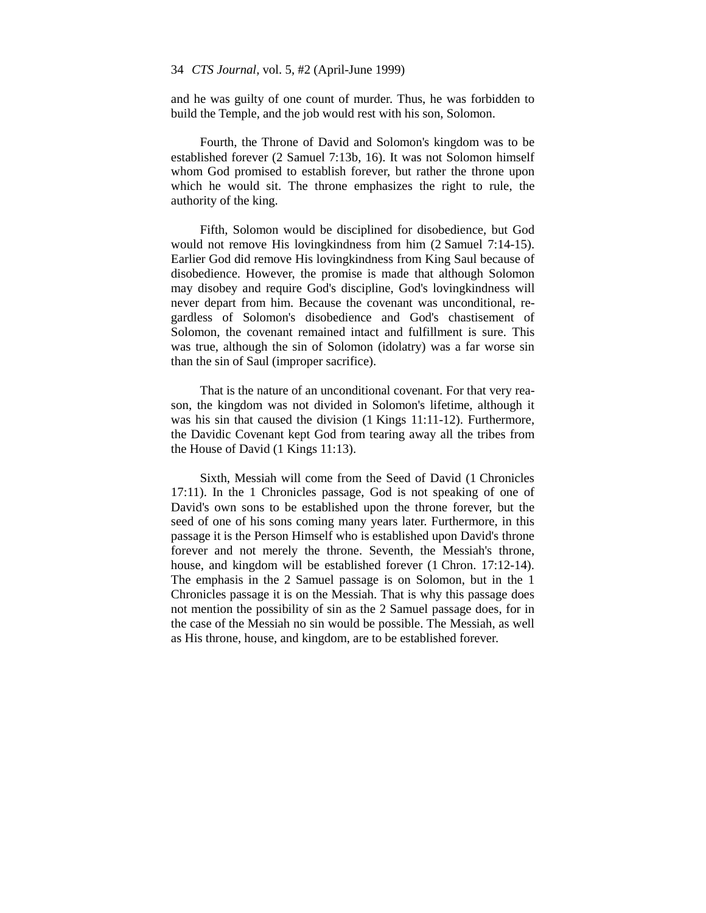and he was guilty of one count of murder. Thus, he was forbidden to build the Temple, and the job would rest with his son, Solomon.

Fourth, the Throne of David and Solomon's kingdom was to be established forever (2 Samuel 7:13b, 16). It was not Solomon himself whom God promised to establish forever, but rather the throne upon which he would sit. The throne emphasizes the right to rule, the authority of the king.

Fifth, Solomon would be disciplined for disobedience, but God would not remove His lovingkindness from him (2 Samuel 7:14-15). Earlier God did remove His lovingkindness from King Saul because of disobedience. However, the promise is made that although Solomon may disobey and require God's discipline, God's lovingkindness will never depart from him. Because the covenant was unconditional, regardless of Solomon's disobedience and God's chastisement of Solomon, the covenant remained intact and fulfillment is sure. This was true, although the sin of Solomon (idolatry) was a far worse sin than the sin of Saul (improper sacrifice).

That is the nature of an unconditional covenant. For that very reason, the kingdom was not divided in Solomon's lifetime, although it was his sin that caused the division (1 Kings 11:11-12). Furthermore, the Davidic Covenant kept God from tearing away all the tribes from the House of David (1 Kings 11:13).

Sixth, Messiah will come from the Seed of David (1 Chronicles 17:11). In the 1 Chronicles passage, God is not speaking of one of David's own sons to be established upon the throne forever, but the seed of one of his sons coming many years later. Furthermore, in this passage it is the Person Himself who is established upon David's throne forever and not merely the throne. Seventh, the Messiah's throne, house, and kingdom will be established forever (1 Chron. 17:12-14). The emphasis in the 2 Samuel passage is on Solomon, but in the 1 Chronicles passage it is on the Messiah. That is why this passage does not mention the possibility of sin as the 2 Samuel passage does, for in the case of the Messiah no sin would be possible. The Messiah, as well as His throne, house, and kingdom, are to be established forever.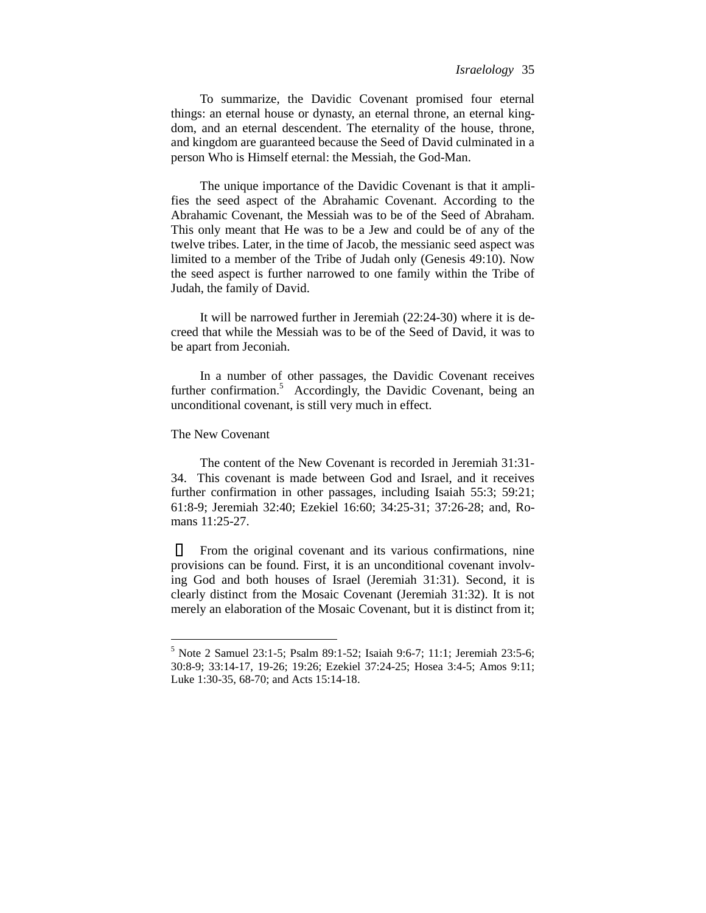To summarize, the Davidic Covenant promised four eternal things: an eternal house or dynasty, an eternal throne, an eternal kingdom, and an eternal descendent. The eternality of the house, throne, and kingdom are guaranteed because the Seed of David culminated in a person Who is Himself eternal: the Messiah, the God-Man.

The unique importance of the Davidic Covenant is that it amplifies the seed aspect of the Abrahamic Covenant. According to the Abrahamic Covenant, the Messiah was to be of the Seed of Abraham. This only meant that He was to be a Jew and could be of any of the twelve tribes. Later, in the time of Jacob, the messianic seed aspect was limited to a member of the Tribe of Judah only (Genesis 49:10). Now the seed aspect is further narrowed to one family within the Tribe of Judah, the family of David.

It will be narrowed further in Jeremiah (22:24-30) where it is decreed that while the Messiah was to be of the Seed of David, it was to be apart from Jeconiah.

In a number of other passages, the Davidic Covenant receives further confirmation.<sup>5</sup> Accordingly, the Davidic Covenant, being an unconditional covenant, is still very much in effect.

## The New Covenant

 $\overline{a}$ 

The content of the New Covenant is recorded in Jeremiah 31:31- 34. This covenant is made between God and Israel, and it receives further confirmation in other passages, including Isaiah 55:3; 59:21; 61:8-9; Jeremiah 32:40; Ezekiel 16:60; 34:25-31; 37:26-28; and, Romans 11:25-27.

From the original covenant and its various confirmations, nine provisions can be found. First, it is an unconditional covenant involving God and both houses of Israel (Jeremiah 31:31). Second, it is clearly distinct from the Mosaic Covenant (Jeremiah 31:32). It is not merely an elaboration of the Mosaic Covenant, but it is distinct from it;

<sup>5</sup> Note 2 Samuel 23:1-5; Psalm 89:1-52; Isaiah 9:6-7; 11:1; Jeremiah 23:5-6; 30:8-9; 33:14-17, 19-26; 19:26; Ezekiel 37:24-25; Hosea 3:4-5; Amos 9:11; Luke 1:30-35, 68-70; and Acts 15:14-18.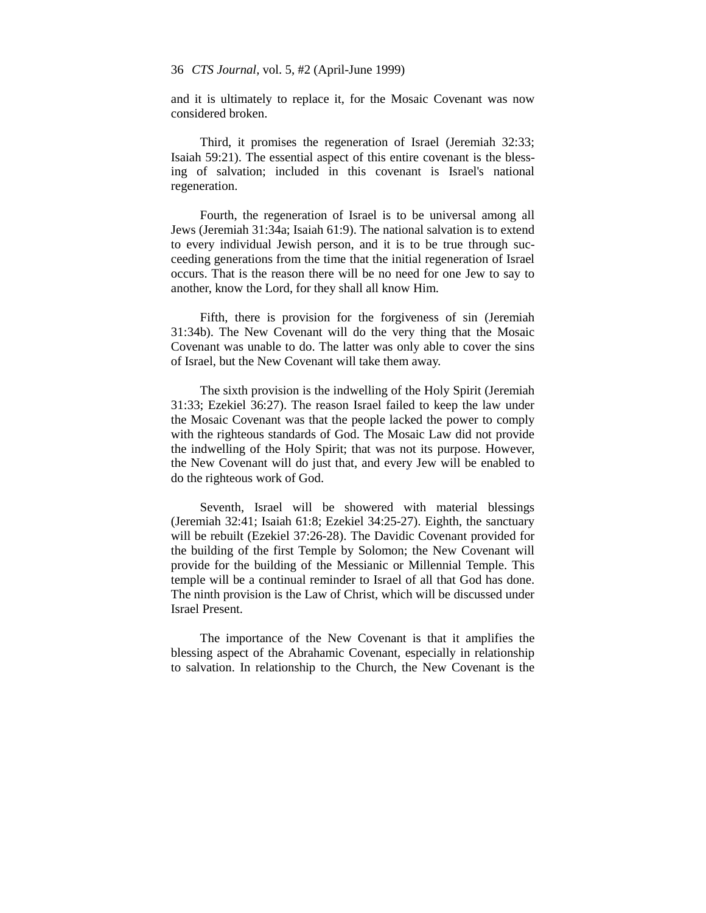and it is ultimately to replace it, for the Mosaic Covenant was now considered broken.

Third, it promises the regeneration of Israel (Jeremiah 32:33; Isaiah 59:21). The essential aspect of this entire covenant is the blessing of salvation; included in this covenant is Israel's national regeneration.

Fourth, the regeneration of Israel is to be universal among all Jews (Jeremiah 31:34a; Isaiah 61:9). The national salvation is to extend to every individual Jewish person, and it is to be true through succeeding generations from the time that the initial regeneration of Israel occurs. That is the reason there will be no need for one Jew to say to another, know the Lord, for they shall all know Him.

Fifth, there is provision for the forgiveness of sin (Jeremiah 31:34b). The New Covenant will do the very thing that the Mosaic Covenant was unable to do. The latter was only able to cover the sins of Israel, but the New Covenant will take them away.

The sixth provision is the indwelling of the Holy Spirit (Jeremiah 31:33; Ezekiel 36:27). The reason Israel failed to keep the law under the Mosaic Covenant was that the people lacked the power to comply with the righteous standards of God. The Mosaic Law did not provide the indwelling of the Holy Spirit; that was not its purpose. However, the New Covenant will do just that, and every Jew will be enabled to do the righteous work of God.

Seventh, Israel will be showered with material blessings (Jeremiah 32:41; Isaiah 61:8; Ezekiel 34:25-27). Eighth, the sanctuary will be rebuilt (Ezekiel 37:26-28). The Davidic Covenant provided for the building of the first Temple by Solomon; the New Covenant will provide for the building of the Messianic or Millennial Temple. This temple will be a continual reminder to Israel of all that God has done. The ninth provision is the Law of Christ, which will be discussed under Israel Present.

The importance of the New Covenant is that it amplifies the blessing aspect of the Abrahamic Covenant, especially in relationship to salvation. In relationship to the Church, the New Covenant is the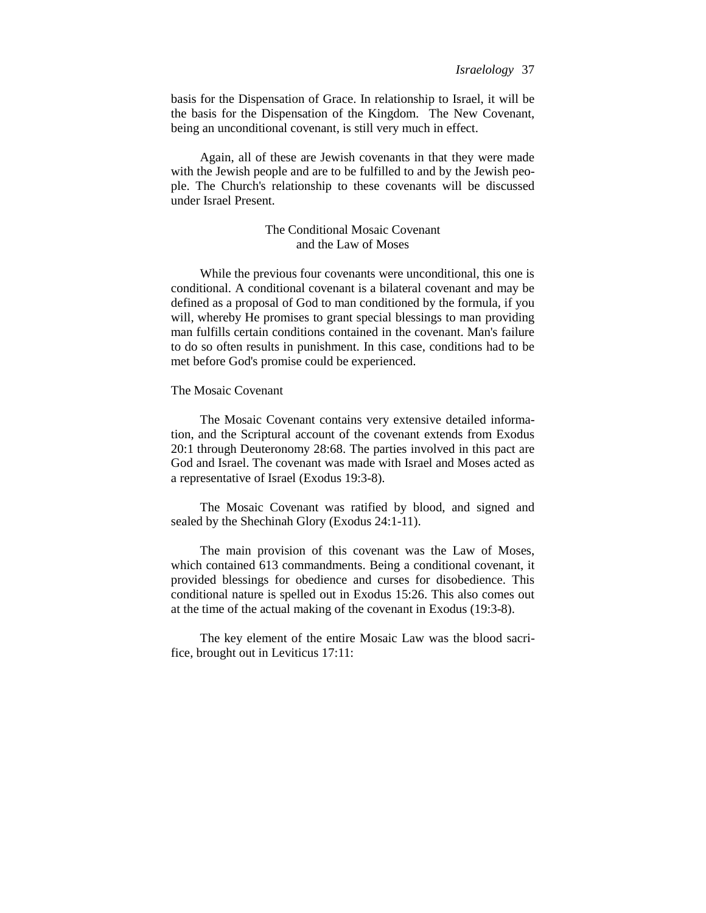basis for the Dispensation of Grace. In relationship to Israel, it will be the basis for the Dispensation of the Kingdom. The New Covenant, being an unconditional covenant, is still very much in effect.

Again, all of these are Jewish covenants in that they were made with the Jewish people and are to be fulfilled to and by the Jewish people. The Church's relationship to these covenants will be discussed under Israel Present.

# The Conditional Mosaic Covenant and the Law of Moses

While the previous four covenants were unconditional, this one is conditional. A conditional covenant is a bilateral covenant and may be defined as a proposal of God to man conditioned by the formula, if you will, whereby He promises to grant special blessings to man providing man fulfills certain conditions contained in the covenant. Man's failure to do so often results in punishment. In this case, conditions had to be met before God's promise could be experienced.

# The Mosaic Covenant

The Mosaic Covenant contains very extensive detailed information, and the Scriptural account of the covenant extends from Exodus 20:1 through Deuteronomy 28:68. The parties involved in this pact are God and Israel. The covenant was made with Israel and Moses acted as a representative of Israel (Exodus 19:3-8).

The Mosaic Covenant was ratified by blood, and signed and sealed by the Shechinah Glory (Exodus 24:1-11).

The main provision of this covenant was the Law of Moses, which contained 613 commandments. Being a conditional covenant, it provided blessings for obedience and curses for disobedience. This conditional nature is spelled out in Exodus 15:26. This also comes out at the time of the actual making of the covenant in Exodus (19:3-8).

The key element of the entire Mosaic Law was the blood sacrifice, brought out in Leviticus 17:11: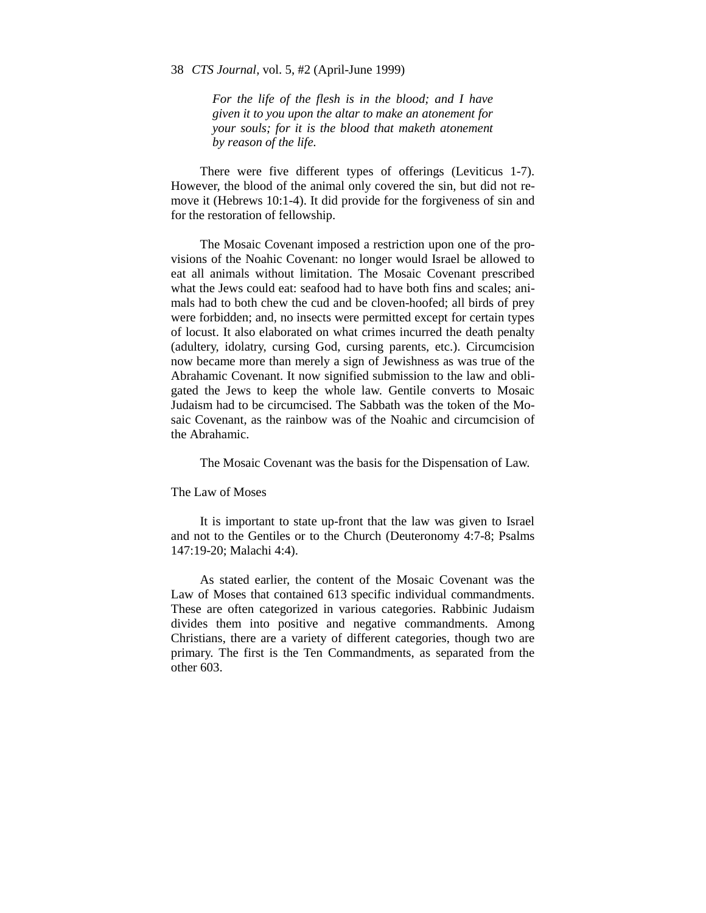*For the life of the flesh is in the blood; and I have given it to you upon the altar to make an atonement for your souls; for it is the blood that maketh atonement by reason of the life.*

There were five different types of offerings (Leviticus 1-7). However, the blood of the animal only covered the sin, but did not remove it (Hebrews 10:1-4). It did provide for the forgiveness of sin and for the restoration of fellowship.

The Mosaic Covenant imposed a restriction upon one of the provisions of the Noahic Covenant: no longer would Israel be allowed to eat all animals without limitation. The Mosaic Covenant prescribed what the Jews could eat: seafood had to have both fins and scales; animals had to both chew the cud and be cloven-hoofed; all birds of prey were forbidden; and, no insects were permitted except for certain types of locust. It also elaborated on what crimes incurred the death penalty (adultery, idolatry, cursing God, cursing parents, etc.). Circumcision now became more than merely a sign of Jewishness as was true of the Abrahamic Covenant. It now signified submission to the law and obligated the Jews to keep the whole law. Gentile converts to Mosaic Judaism had to be circumcised. The Sabbath was the token of the Mosaic Covenant, as the rainbow was of the Noahic and circumcision of the Abrahamic.

The Mosaic Covenant was the basis for the Dispensation of Law.

The Law of Moses

It is important to state up-front that the law was given to Israel and not to the Gentiles or to the Church (Deuteronomy 4:7-8; Psalms 147:19-20; Malachi 4:4).

As stated earlier, the content of the Mosaic Covenant was the Law of Moses that contained 613 specific individual commandments. These are often categorized in various categories. Rabbinic Judaism divides them into positive and negative commandments. Among Christians, there are a variety of different categories, though two are primary. The first is the Ten Commandments, as separated from the other 603.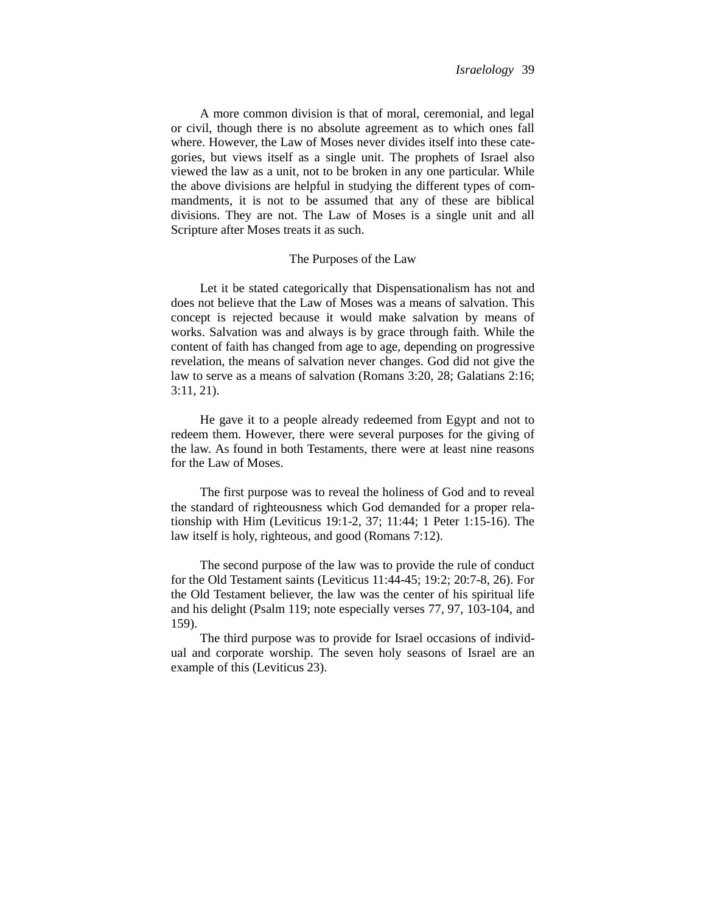A more common division is that of moral, ceremonial, and legal or civil, though there is no absolute agreement as to which ones fall where. However, the Law of Moses never divides itself into these categories, but views itself as a single unit. The prophets of Israel also viewed the law as a unit, not to be broken in any one particular. While the above divisions are helpful in studying the different types of commandments, it is not to be assumed that any of these are biblical divisions. They are not. The Law of Moses is a single unit and all Scripture after Moses treats it as such.

## The Purposes of the Law

Let it be stated categorically that Dispensationalism has not and does not believe that the Law of Moses was a means of salvation. This concept is rejected because it would make salvation by means of works. Salvation was and always is by grace through faith. While the content of faith has changed from age to age, depending on progressive revelation, the means of salvation never changes. God did not give the law to serve as a means of salvation (Romans 3:20, 28; Galatians 2:16; 3:11, 21).

He gave it to a people already redeemed from Egypt and not to redeem them. However, there were several purposes for the giving of the law. As found in both Testaments, there were at least nine reasons for the Law of Moses.

The first purpose was to reveal the holiness of God and to reveal the standard of righteousness which God demanded for a proper relationship with Him (Leviticus 19:1-2, 37; 11:44; 1 Peter 1:15-16). The law itself is holy, righteous, and good (Romans 7:12).

The second purpose of the law was to provide the rule of conduct for the Old Testament saints (Leviticus 11:44-45; 19:2; 20:7-8, 26). For the Old Testament believer, the law was the center of his spiritual life and his delight (Psalm 119; note especially verses 77, 97, 103-104, and 159).

The third purpose was to provide for Israel occasions of individual and corporate worship. The seven holy seasons of Israel are an example of this (Leviticus 23).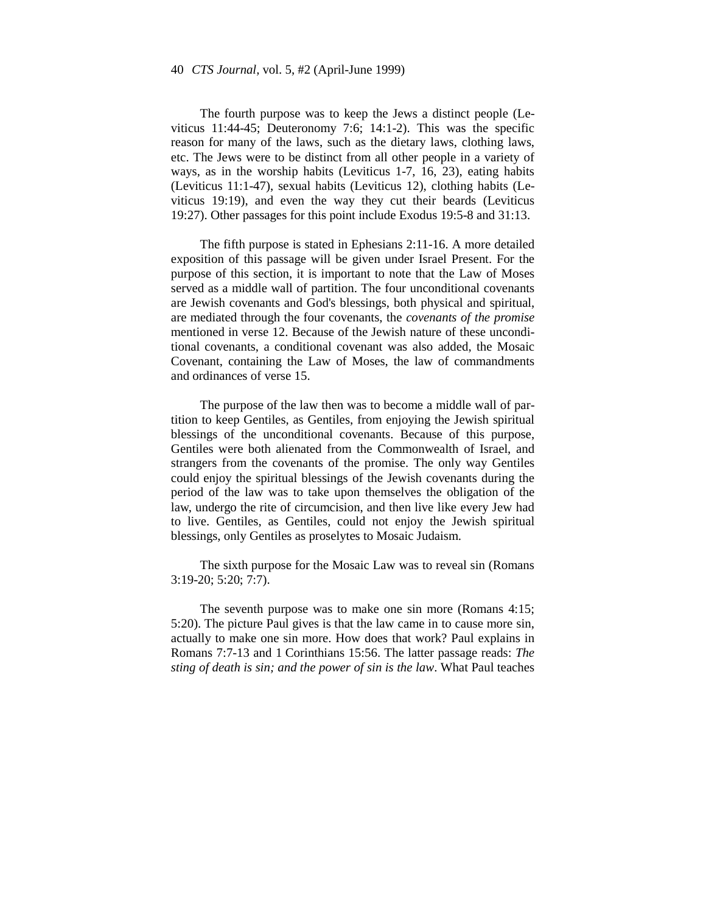The fourth purpose was to keep the Jews a distinct people (Leviticus 11:44-45; Deuteronomy 7:6; 14:1-2). This was the specific reason for many of the laws, such as the dietary laws, clothing laws, etc. The Jews were to be distinct from all other people in a variety of ways, as in the worship habits (Leviticus 1-7, 16, 23), eating habits (Leviticus 11:1-47), sexual habits (Leviticus 12), clothing habits (Leviticus 19:19), and even the way they cut their beards (Leviticus 19:27). Other passages for this point include Exodus 19:5-8 and 31:13.

The fifth purpose is stated in Ephesians 2:11-16. A more detailed exposition of this passage will be given under Israel Present. For the purpose of this section, it is important to note that the Law of Moses served as a middle wall of partition. The four unconditional covenants are Jewish covenants and God's blessings, both physical and spiritual, are mediated through the four covenants, the *covenants of the promise* mentioned in verse 12. Because of the Jewish nature of these unconditional covenants, a conditional covenant was also added, the Mosaic Covenant, containing the Law of Moses, the law of commandments and ordinances of verse 15.

The purpose of the law then was to become a middle wall of partition to keep Gentiles, as Gentiles, from enjoying the Jewish spiritual blessings of the unconditional covenants. Because of this purpose, Gentiles were both alienated from the Commonwealth of Israel, and strangers from the covenants of the promise. The only way Gentiles could enjoy the spiritual blessings of the Jewish covenants during the period of the law was to take upon themselves the obligation of the law, undergo the rite of circumcision, and then live like every Jew had to live. Gentiles, as Gentiles, could not enjoy the Jewish spiritual blessings, only Gentiles as proselytes to Mosaic Judaism.

The sixth purpose for the Mosaic Law was to reveal sin (Romans 3:19-20; 5:20; 7:7).

The seventh purpose was to make one sin more (Romans 4:15; 5:20). The picture Paul gives is that the law came in to cause more sin, actually to make one sin more. How does that work? Paul explains in Romans 7:7-13 and 1 Corinthians 15:56. The latter passage reads: *The sting of death is sin; and the power of sin is the law*. What Paul teaches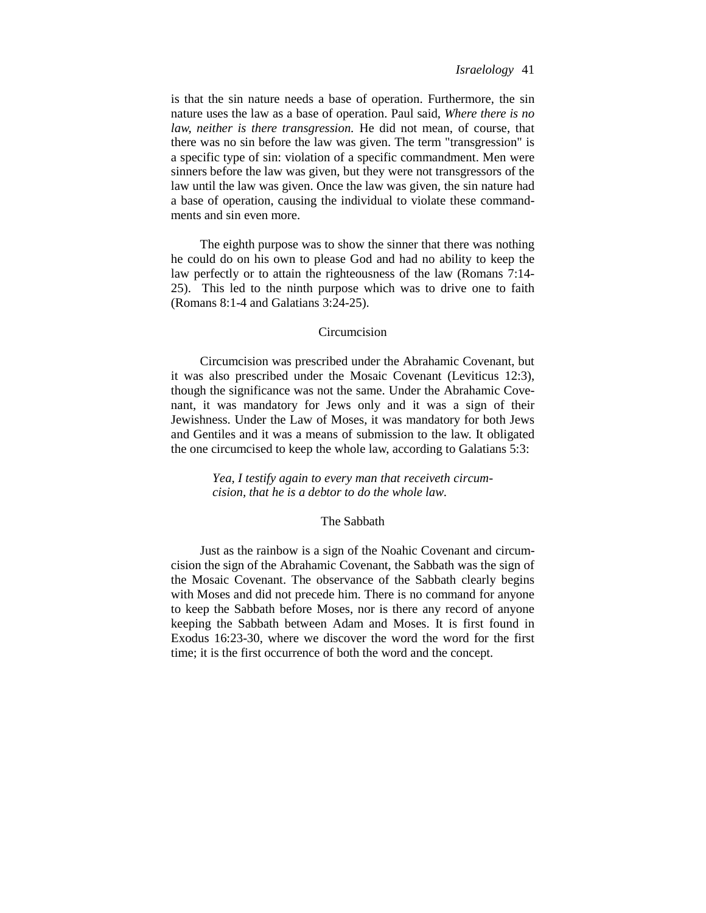is that the sin nature needs a base of operation. Furthermore, the sin nature uses the law as a base of operation. Paul said, *Where there is no law, neither is there transgression.* He did not mean, of course, that there was no sin before the law was given. The term "transgression" is a specific type of sin: violation of a specific commandment. Men were sinners before the law was given, but they were not transgressors of the law until the law was given. Once the law was given, the sin nature had a base of operation, causing the individual to violate these commandments and sin even more.

The eighth purpose was to show the sinner that there was nothing he could do on his own to please God and had no ability to keep the law perfectly or to attain the righteousness of the law (Romans 7:14- 25). This led to the ninth purpose which was to drive one to faith (Romans 8:1-4 and Galatians 3:24-25).

## Circumcision

Circumcision was prescribed under the Abrahamic Covenant, but it was also prescribed under the Mosaic Covenant (Leviticus 12:3), though the significance was not the same. Under the Abrahamic Covenant, it was mandatory for Jews only and it was a sign of their Jewishness. Under the Law of Moses, it was mandatory for both Jews and Gentiles and it was a means of submission to the law. It obligated the one circumcised to keep the whole law, according to Galatians 5:3:

> *Yea, I testify again to every man that receiveth circumcision, that he is a debtor to do the whole law.*

# The Sabbath

Just as the rainbow is a sign of the Noahic Covenant and circumcision the sign of the Abrahamic Covenant, the Sabbath was the sign of the Mosaic Covenant. The observance of the Sabbath clearly begins with Moses and did not precede him. There is no command for anyone to keep the Sabbath before Moses, nor is there any record of anyone keeping the Sabbath between Adam and Moses. It is first found in Exodus 16:23-30, where we discover the word the word for the first time; it is the first occurrence of both the word and the concept.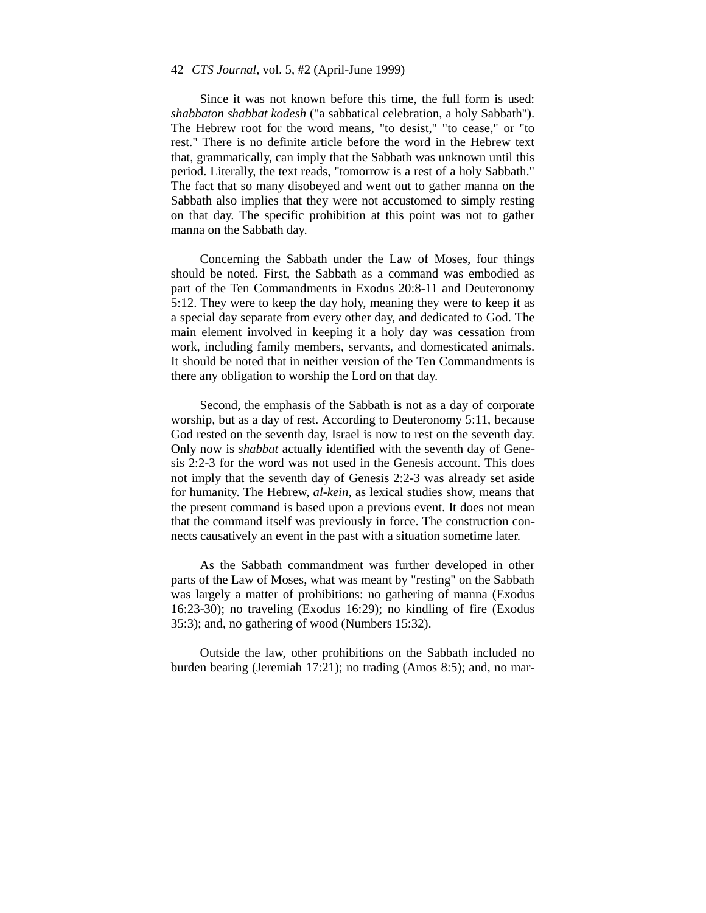Since it was not known before this time, the full form is used: *shabbaton shabbat kodesh* ("a sabbatical celebration, a holy Sabbath"). The Hebrew root for the word means, "to desist," "to cease," or "to rest." There is no definite article before the word in the Hebrew text that, grammatically, can imply that the Sabbath was unknown until this period. Literally, the text reads, "tomorrow is a rest of a holy Sabbath." The fact that so many disobeyed and went out to gather manna on the Sabbath also implies that they were not accustomed to simply resting on that day. The specific prohibition at this point was not to gather manna on the Sabbath day.

Concerning the Sabbath under the Law of Moses, four things should be noted. First, the Sabbath as a command was embodied as part of the Ten Commandments in Exodus 20:8-11 and Deuteronomy 5:12. They were to keep the day holy, meaning they were to keep it as a special day separate from every other day, and dedicated to God. The main element involved in keeping it a holy day was cessation from work, including family members, servants, and domesticated animals. It should be noted that in neither version of the Ten Commandments is there any obligation to worship the Lord on that day.

Second, the emphasis of the Sabbath is not as a day of corporate worship, but as a day of rest. According to Deuteronomy 5:11, because God rested on the seventh day, Israel is now to rest on the seventh day. Only now is *shabbat* actually identified with the seventh day of Genesis 2:2-3 for the word was not used in the Genesis account. This does not imply that the seventh day of Genesis 2:2-3 was already set aside for humanity. The Hebrew, *al-kein,* as lexical studies show, means that the present command is based upon a previous event. It does not mean that the command itself was previously in force. The construction connects causatively an event in the past with a situation sometime later.

As the Sabbath commandment was further developed in other parts of the Law of Moses, what was meant by "resting" on the Sabbath was largely a matter of prohibitions: no gathering of manna (Exodus 16:23-30); no traveling (Exodus 16:29); no kindling of fire (Exodus 35:3); and, no gathering of wood (Numbers 15:32).

Outside the law, other prohibitions on the Sabbath included no burden bearing (Jeremiah 17:21); no trading (Amos 8:5); and, no mar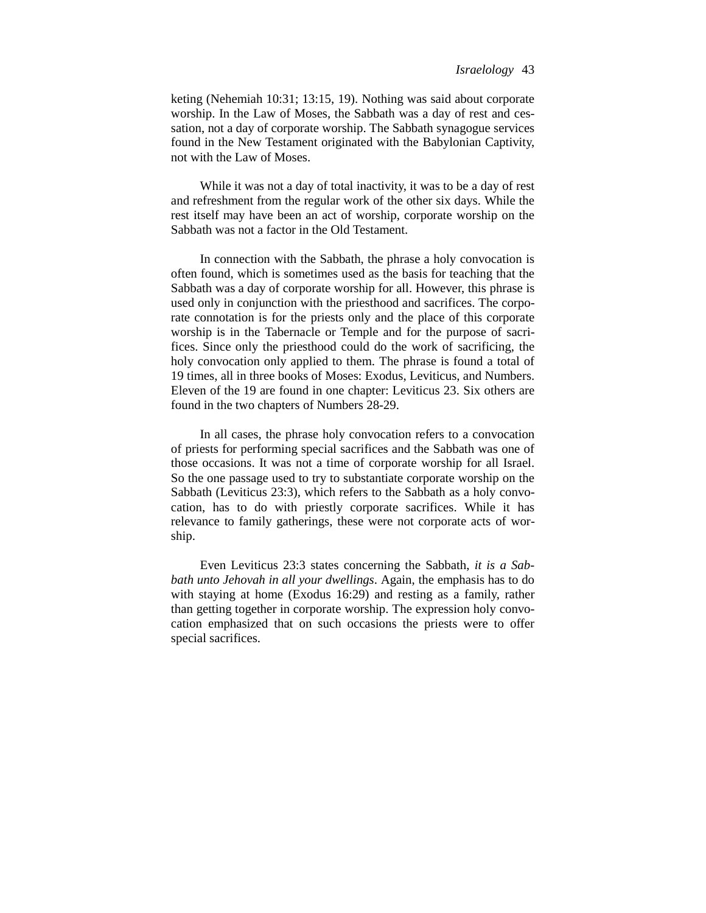keting (Nehemiah 10:31; 13:15, 19). Nothing was said about corporate worship. In the Law of Moses, the Sabbath was a day of rest and cessation, not a day of corporate worship. The Sabbath synagogue services found in the New Testament originated with the Babylonian Captivity, not with the Law of Moses.

While it was not a day of total inactivity, it was to be a day of rest and refreshment from the regular work of the other six days. While the rest itself may have been an act of worship, corporate worship on the Sabbath was not a factor in the Old Testament.

In connection with the Sabbath, the phrase a holy convocation is often found, which is sometimes used as the basis for teaching that the Sabbath was a day of corporate worship for all. However, this phrase is used only in conjunction with the priesthood and sacrifices. The corporate connotation is for the priests only and the place of this corporate worship is in the Tabernacle or Temple and for the purpose of sacrifices. Since only the priesthood could do the work of sacrificing, the holy convocation only applied to them. The phrase is found a total of 19 times, all in three books of Moses: Exodus, Leviticus, and Numbers. Eleven of the 19 are found in one chapter: Leviticus 23. Six others are found in the two chapters of Numbers 28-29.

In all cases, the phrase holy convocation refers to a convocation of priests for performing special sacrifices and the Sabbath was one of those occasions. It was not a time of corporate worship for all Israel. So the one passage used to try to substantiate corporate worship on the Sabbath (Leviticus 23:3), which refers to the Sabbath as a holy convocation, has to do with priestly corporate sacrifices. While it has relevance to family gatherings, these were not corporate acts of worship.

Even Leviticus 23:3 states concerning the Sabbath, *it is a Sabbath unto Jehovah in all your dwellings*. Again, the emphasis has to do with staying at home (Exodus 16:29) and resting as a family, rather than getting together in corporate worship. The expression holy convocation emphasized that on such occasions the priests were to offer special sacrifices.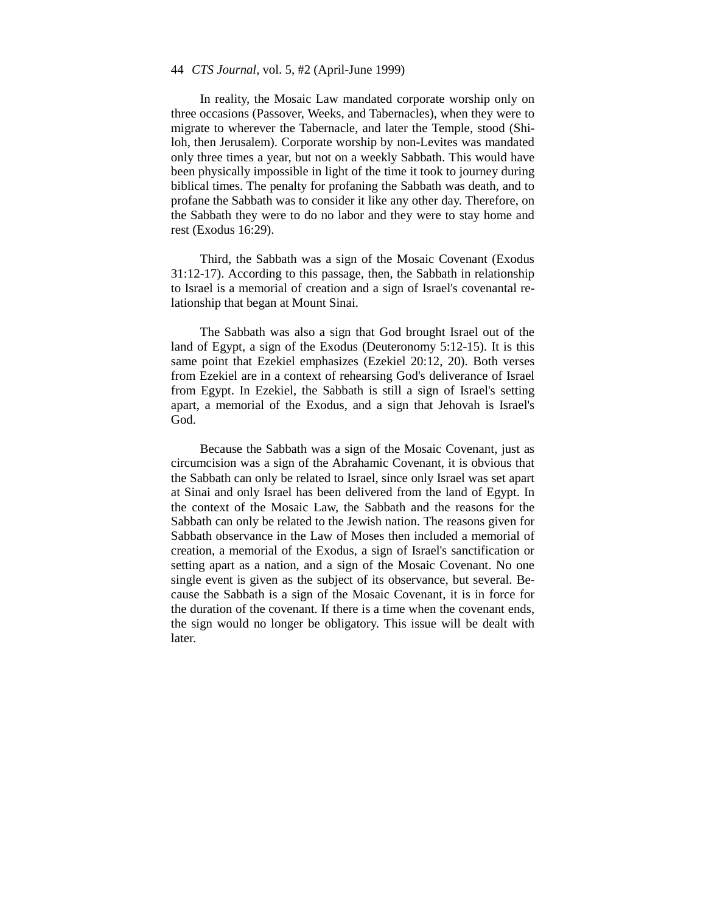In reality, the Mosaic Law mandated corporate worship only on three occasions (Passover, Weeks, and Tabernacles), when they were to migrate to wherever the Tabernacle, and later the Temple, stood (Shiloh, then Jerusalem). Corporate worship by non-Levites was mandated only three times a year, but not on a weekly Sabbath. This would have been physically impossible in light of the time it took to journey during biblical times. The penalty for profaning the Sabbath was death, and to profane the Sabbath was to consider it like any other day. Therefore, on the Sabbath they were to do no labor and they were to stay home and rest (Exodus 16:29).

Third, the Sabbath was a sign of the Mosaic Covenant (Exodus 31:12-17). According to this passage, then, the Sabbath in relationship to Israel is a memorial of creation and a sign of Israel's covenantal relationship that began at Mount Sinai.

The Sabbath was also a sign that God brought Israel out of the land of Egypt, a sign of the Exodus (Deuteronomy 5:12-15). It is this same point that Ezekiel emphasizes (Ezekiel 20:12, 20). Both verses from Ezekiel are in a context of rehearsing God's deliverance of Israel from Egypt. In Ezekiel, the Sabbath is still a sign of Israel's setting apart, a memorial of the Exodus, and a sign that Jehovah is Israel's God.

Because the Sabbath was a sign of the Mosaic Covenant, just as circumcision was a sign of the Abrahamic Covenant, it is obvious that the Sabbath can only be related to Israel, since only Israel was set apart at Sinai and only Israel has been delivered from the land of Egypt. In the context of the Mosaic Law, the Sabbath and the reasons for the Sabbath can only be related to the Jewish nation. The reasons given for Sabbath observance in the Law of Moses then included a memorial of creation, a memorial of the Exodus, a sign of Israel's sanctification or setting apart as a nation, and a sign of the Mosaic Covenant. No one single event is given as the subject of its observance, but several. Because the Sabbath is a sign of the Mosaic Covenant, it is in force for the duration of the covenant. If there is a time when the covenant ends, the sign would no longer be obligatory. This issue will be dealt with later.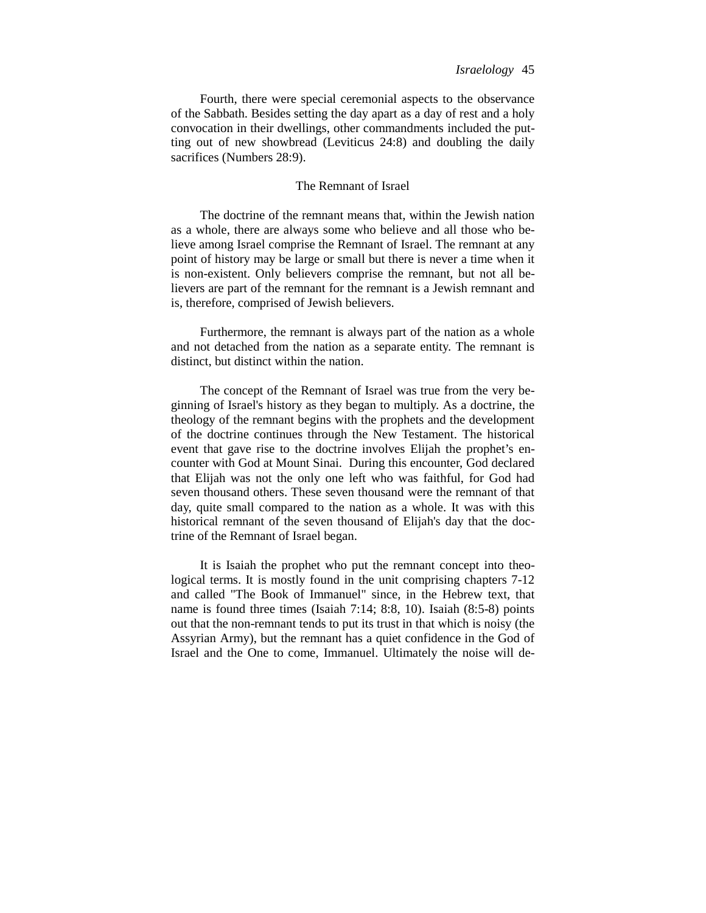Fourth, there were special ceremonial aspects to the observance of the Sabbath. Besides setting the day apart as a day of rest and a holy convocation in their dwellings, other commandments included the putting out of new showbread (Leviticus 24:8) and doubling the daily sacrifices (Numbers 28:9).

# The Remnant of Israel

The doctrine of the remnant means that, within the Jewish nation as a whole, there are always some who believe and all those who believe among Israel comprise the Remnant of Israel. The remnant at any point of history may be large or small but there is never a time when it is non-existent. Only believers comprise the remnant, but not all believers are part of the remnant for the remnant is a Jewish remnant and is, therefore, comprised of Jewish believers.

Furthermore, the remnant is always part of the nation as a whole and not detached from the nation as a separate entity. The remnant is distinct, but distinct within the nation.

The concept of the Remnant of Israel was true from the very beginning of Israel's history as they began to multiply. As a doctrine, the theology of the remnant begins with the prophets and the development of the doctrine continues through the New Testament. The historical event that gave rise to the doctrine involves Elijah the prophet's encounter with God at Mount Sinai. During this encounter, God declared that Elijah was not the only one left who was faithful, for God had seven thousand others. These seven thousand were the remnant of that day, quite small compared to the nation as a whole. It was with this historical remnant of the seven thousand of Elijah's day that the doctrine of the Remnant of Israel began.

It is Isaiah the prophet who put the remnant concept into theological terms. It is mostly found in the unit comprising chapters 7-12 and called "The Book of Immanuel" since, in the Hebrew text, that name is found three times (Isaiah 7:14; 8:8, 10). Isaiah (8:5-8) points out that the non-remnant tends to put its trust in that which is noisy (the Assyrian Army), but the remnant has a quiet confidence in the God of Israel and the One to come, Immanuel. Ultimately the noise will de-